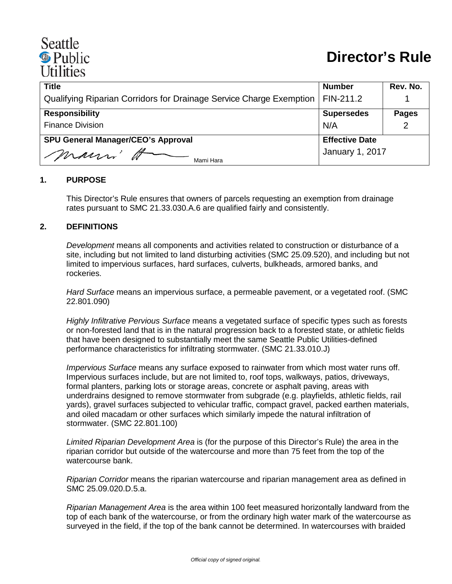# Seattle <sup><sup>®</sup> Public</sup> **Utilities**

| <b>Title</b>                                                        | <b>Number</b>         | Rev. No.     |
|---------------------------------------------------------------------|-----------------------|--------------|
| Qualifying Riparian Corridors for Drainage Service Charge Exemption | FIN-211.2             |              |
| <b>Responsibility</b>                                               | <b>Supersedes</b>     | <b>Pages</b> |
| <b>Finance Division</b>                                             | N/A                   | 2            |
| <b>SPU General Manager/CEO's Approval</b>                           | <b>Effective Date</b> |              |
| marri H<br>Mami Hara                                                | January 1, 2017       |              |

#### **1. PURPOSE**

This Director's Rule ensures that owners of parcels requesting an exemption from drainage rates pursuant to SMC 21.33.030.A.6 are qualified fairly and consistently.

#### **2. DEFINITIONS**

*Development* means all components and activities related to construction or disturbance of a site, including but not limited to land disturbing activities (SMC 25.09.520), and including but not limited to impervious surfaces, hard surfaces, culverts, bulkheads, armored banks, and rockeries.

*Hard Surface* means an impervious surface, a permeable pavement, or a vegetated roof. (SMC 22.801.090)

*Highly Infiltrative Pervious Surface* means a vegetated surface of specific types such as forests or non-forested land that is in the natural progression back to a forested state, or athletic fields that have been designed to substantially meet the same Seattle Public Utilities-defined performance characteristics for infiltrating stormwater. (SMC 21.33.010.J)

*Impervious Surface* means any surface exposed to rainwater from which most water runs off. Impervious surfaces include, but are not limited to, roof tops, walkways, patios, driveways, formal planters, parking lots or storage areas, concrete or asphalt paving, areas with underdrains designed to remove stormwater from subgrade (e.g. playfields, athletic fields, rail yards), gravel surfaces subjected to vehicular traffic, compact gravel, packed earthen materials, and oiled macadam or other surfaces which similarly impede the natural infiltration of stormwater. (SMC 22.801.100)

*Limited Riparian Development Area* is (for the purpose of this Director's Rule) the area in the riparian corridor but outside of the watercourse and more than 75 feet from the top of the watercourse bank.

*Riparian Corridor* means the riparian watercourse and riparian management area as defined in SMC 25.09.020.D.5.a.

*Riparian Management Area* is the area within 100 feet measured horizontally landward from the top of each bank of the watercourse, or from the ordinary high water mark of the watercourse as surveyed in the field, if the top of the bank cannot be determined. In watercourses with braided